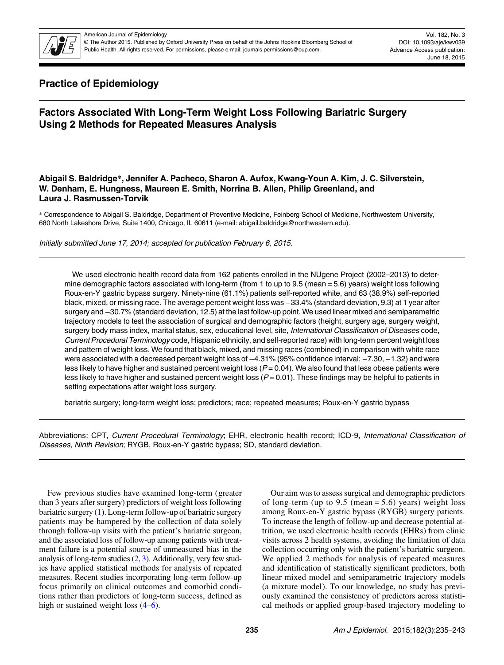

# Practice of Epidemiology

# Factors Associated With Long-Term Weight Loss Following Bariatric Surgery Using 2 Methods for Repeated Measures Analysis

## Abigail S. Baldridge\*, Jennifer A. Pacheco, Sharon A. Aufox, Kwang-Youn A. Kim, J. C. Silverstein, W. Denham, E. Hungness, Maureen E. Smith, Norrina B. Allen, Philip Greenland, and Laura J. Rasmussen-Torvik

\* Correspondence to Abigail S. Baldridge, Department of Preventive Medicine, Feinberg School of Medicine, Northwestern University, 680 North Lakeshore Drive, Suite 1400, Chicago, IL 60611 (e-mail: abigail.baldridge@northwestern.edu).

Initially submitted June 17, 2014; accepted for publication February 6, 2015.

We used electronic health record data from 162 patients enrolled in the NUgene Project (2002–2013) to determine demographic factors associated with long-term (from 1 to up to 9.5 (mean  $=$  5.6) years) weight loss following Roux-en-Y gastric bypass surgery. Ninety-nine (61.1%) patients self-reported white, and 63 (38.9%) self-reported black, mixed, or missing race. The average percent weight loss was −33.4% (standard deviation, 9.3) at 1 year after surgery and −30.7% (standard deviation, 12.5) at the last follow-up point. We used linear mixed and semiparametric trajectory models to test the association of surgical and demographic factors (height, surgery age, surgery weight, surgery body mass index, marital status, sex, educational level, site, International Classification of Diseases code, Current Procedural Terminology code, Hispanic ethnicity, and self-reported race) with long-term percent weight loss and pattern of weight loss. We found that black, mixed, and missing races (combined) in comparison with white race were associated with a decreased percent weight loss of −4.31% (95% confidence interval: −7.30, −1.32) and were less likely to have higher and sustained percent weight loss  $(P = 0.04)$ . We also found that less obese patients were less likely to have higher and sustained percent weight loss  $(P = 0.01)$ . These findings may be helpful to patients in setting expectations after weight loss surgery.

bariatric surgery; long-term weight loss; predictors; race; repeated measures; Roux-en-Y gastric bypass

Abbreviations: CPT, Current Procedural Terminology; EHR, electronic health record; ICD-9, International Classification of Diseases, Ninth Revision; RYGB, Roux-en-Y gastric bypass; SD, standard deviation.

Few previous studies have examined long-term (greater than 3 years after surgery) predictors of weight loss following bariatric surgery ([1\)](#page-7-0). Long-term follow-up of bariatric surgery patients may be hampered by the collection of data solely through follow-up visits with the patient's bariatric surgeon, and the associated loss of follow-up among patients with treatment failure is a potential source of unmeasured bias in the analysis of long-term studies [\(2](#page-7-0), [3](#page-7-0)). Additionally, very few studies have applied statistical methods for analysis of repeated measures. Recent studies incorporating long-term follow-up focus primarily on clinical outcomes and comorbid conditions rather than predictors of long-term success, defined as high or sustained weight loss  $(4-6)$  $(4-6)$  $(4-6)$  $(4-6)$ .

Our aim was to assess surgical and demographic predictors of long-term (up to  $9.5$  (mean =  $5.6$ ) years) weight loss among Roux-en-Y gastric bypass (RYGB) surgery patients. To increase the length of follow-up and decrease potential attrition, we used electronic health records (EHRs) from clinic visits across 2 health systems, avoiding the limitation of data collection occurring only with the patient's bariatric surgeon. We applied 2 methods for analysis of repeated measures and identification of statistically significant predictors, both linear mixed model and semiparametric trajectory models (a mixture model). To our knowledge, no study has previously examined the consistency of predictors across statistical methods or applied group-based trajectory modeling to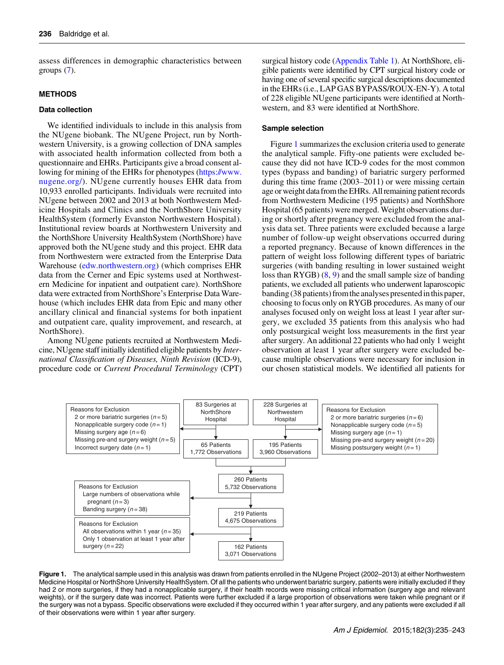assess differences in demographic characteristics between groups ([7\)](#page-7-0).

## **METHODS**

### Data collection

We identified individuals to include in this analysis from the NUgene biobank. The NUgene Project, run by Northwestern University, is a growing collection of DNA samples with associated health information collected from both a questionnaire and EHRs. Participants give a broad consent allowing for mining of the EHRs for phenotypes ([https://www.](https://www.nugene.org/) [nugene.org/\)](https://www.nugene.org/). NUgene currently houses EHR data from 10,933 enrolled participants. Individuals were recruited into NUgene between 2002 and 2013 at both Northwestern Medicine Hospitals and Clinics and the NorthShore University HealthSystem (formerly Evanston Northwestern Hospital). Institutional review boards at Northwestern University and the NorthShore University HealthSystem (NorthShore) have approved both the NUgene study and this project. EHR data from Northwestern were extracted from the Enterprise Data Warehouse ([edw.northwestern.org\)](edw.northwestern.org) (which comprises EHR data from the Cerner and Epic systems used at Northwestern Medicine for inpatient and outpatient care). NorthShore data were extracted from NorthShore's Enterprise Data Warehouse (which includes EHR data from Epic and many other ancillary clinical and financial systems for both inpatient and outpatient care, quality improvement, and research, at NorthShore).

Among NUgene patients recruited at Northwestern Medicine, NUgene staff initially identified eligible patients by International Classification of Diseases, Ninth Revision (ICD-9), procedure code or Current Procedural Terminology (CPT) surgical history code ([Appendix Table 1\)](#page-8-0). At NorthShore, eligible patients were identified by CPT surgical history code or having one of several specific surgical descriptions documented in the EHRs (i.e., LAP GAS BYPASS/ROUX-EN-Y). A total of 228 eligible NUgene participants were identified at Northwestern, and 83 were identified at NorthShore.

#### Sample selection

Figure 1 summarizes the exclusion criteria used to generate the analytical sample. Fifty-one patients were excluded because they did not have ICD-9 codes for the most common types (bypass and banding) of bariatric surgery performed during this time frame (2003–2011) or were missing certain age or weight data from the EHRs. All remaining patient records from Northwestern Medicine (195 patients) and NorthShore Hospital (65 patients) were merged. Weight observations during or shortly after pregnancy were excluded from the analysis data set. Three patients were excluded because a large number of follow-up weight observations occurred during a reported pregnancy. Because of known differences in the pattern of weight loss following different types of bariatric surgeries (with banding resulting in lower sustained weight loss than RYGB) [\(8](#page-7-0), [9\)](#page-7-0) and the small sample size of banding patients, we excluded all patients who underwent laparoscopic banding (38 patients) from the analyses presented in this paper, choosing to focus only on RYGB procedures. As many of our analyses focused only on weight loss at least 1 year after surgery, we excluded 35 patients from this analysis who had only postsurgical weight loss measurements in the first year after surgery. An additional 22 patients who had only 1 weight observation at least 1 year after surgery were excluded because multiple observations were necessary for inclusion in our chosen statistical models. We identified all patients for



Figure 1. The analytical sample used in this analysis was drawn from patients enrolled in the NUgene Project (2002–2013) at either Northwestern Medicine Hospital or NorthShore University HealthSystem. Of all the patients who underwent bariatric surgery, patients were initially excluded if they had 2 or more surgeries, if they had a nonapplicable surgery, if their health records were missing critical information (surgery age and relevant weights), or if the surgery date was incorrect. Patients were further excluded if a large proportion of observations were taken while pregnant or if the surgery was not a bypass. Specific observations were excluded if they occurred within 1 year after surgery, and any patients were excluded if all of their observations were within 1 year after surgery.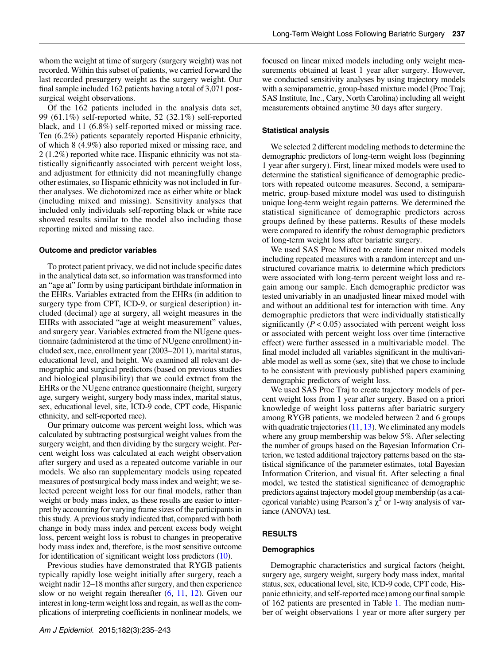whom the weight at time of surgery (surgery weight) was not recorded. Within this subset of patients, we carried forward the last recorded presurgery weight as the surgery weight. Our final sample included 162 patients having a total of 3,071 postsurgical weight observations.

Of the 162 patients included in the analysis data set, 99 (61.1%) self-reported white, 52 (32.1%) self-reported black, and 11 (6.8%) self-reported mixed or missing race. Ten (6.2%) patients separately reported Hispanic ethnicity, of which 8 (4.9%) also reported mixed or missing race, and 2 (1.2%) reported white race. Hispanic ethnicity was not statistically significantly associated with percent weight loss, and adjustment for ethnicity did not meaningfully change other estimates, so Hispanic ethnicity was not included in further analyses. We dichotomized race as either white or black (including mixed and missing). Sensitivity analyses that included only individuals self-reporting black or white race showed results similar to the model also including those reporting mixed and missing race.

#### Outcome and predictor variables

To protect patient privacy, we did not include specific dates in the analytical data set, so information was transformed into an "age at" form by using participant birthdate information in the EHRs. Variables extracted from the EHRs (in addition to surgery type from CPT, ICD-9, or surgical description) included (decimal) age at surgery, all weight measures in the EHRs with associated "age at weight measurement" values, and surgery year. Variables extracted from the NUgene questionnaire (administered at the time of NUgene enrollment) included sex, race, enrollment year (2003–2011), marital status, educational level, and height. We examined all relevant demographic and surgical predictors (based on previous studies and biological plausibility) that we could extract from the EHRs or the NUgene entrance questionnaire (height, surgery age, surgery weight, surgery body mass index, marital status, sex, educational level, site, ICD-9 code, CPT code, Hispanic ethnicity, and self-reported race).

Our primary outcome was percent weight loss, which was calculated by subtracting postsurgical weight values from the surgery weight, and then dividing by the surgery weight. Percent weight loss was calculated at each weight observation after surgery and used as a repeated outcome variable in our models. We also ran supplementary models using repeated measures of postsurgical body mass index and weight; we selected percent weight loss for our final models, rather than weight or body mass index, as these results are easier to interpret by accounting for varying frame sizes of the participants in this study. A previous study indicated that, compared with both change in body mass index and percent excess body weight loss, percent weight loss is robust to changes in preoperative body mass index and, therefore, is the most sensitive outcome for identification of significant weight loss predictors ([10](#page-7-0)).

Previous studies have demonstrated that RYGB patients typically rapidly lose weight initially after surgery, reach a weight nadir 12–18 months after surgery, and then experience slow or no weight regain thereafter ([6](#page-7-0), [11](#page-7-0), [12](#page-7-0)). Given our interest in long-term weight loss and regain, as well as the complications of interpreting coefficients in nonlinear models, we

focused on linear mixed models including only weight measurements obtained at least 1 year after surgery. However, we conducted sensitivity analyses by using trajectory models with a semiparametric, group-based mixture model (Proc Traj; SAS Institute, Inc., Cary, North Carolina) including all weight measurements obtained anytime 30 days after surgery.

#### Statistical analysis

We selected 2 different modeling methods to determine the demographic predictors of long-term weight loss (beginning 1 year after surgery). First, linear mixed models were used to determine the statistical significance of demographic predictors with repeated outcome measures. Second, a semiparametric, group-based mixture model was used to distinguish unique long-term weight regain patterns. We determined the statistical significance of demographic predictors across groups defined by these patterns. Results of these models were compared to identify the robust demographic predictors of long-term weight loss after bariatric surgery.

We used SAS Proc Mixed to create linear mixed models including repeated measures with a random intercept and unstructured covariance matrix to determine which predictors were associated with long-term percent weight loss and regain among our sample. Each demographic predictor was tested univariably in an unadjusted linear mixed model with and without an additional test for interaction with time. Any demographic predictors that were individually statistically significantly  $(P < 0.05)$  associated with percent weight loss or associated with percent weight loss over time (interactive effect) were further assessed in a multivariable model. The final model included all variables significant in the multivariable model as well as some (sex, site) that we chose to include to be consistent with previously published papers examining demographic predictors of weight loss.

We used SAS Proc Traj to create trajectory models of percent weight loss from 1 year after surgery. Based on a priori knowledge of weight loss patterns after bariatric surgery among RYGB patients, we modeled between 2 and 6 groups with quadratic trajectories  $(11, 13)$  $(11, 13)$  $(11, 13)$  $(11, 13)$ . We eliminated any models where any group membership was below 5%. After selecting the number of groups based on the Bayesian Information Criterion, we tested additional trajectory patterns based on the statistical significance of the parameter estimates, total Bayesian Information Criterion, and visual fit. After selecting a final model, we tested the statistical significance of demographic predictors against trajectory model group membership (as a categorical variable) using Pearson's  $\chi^2$  or 1-way analysis of variance (ANOVA) test.

#### RESULTS

## **Demographics**

Demographic characteristics and surgical factors (height, surgery age, surgery weight, surgery body mass index, marital status, sex, educational level, site, ICD-9 code, CPT code, Hispanic ethnicity, and self-reported race) among our final sample of 162 patients are presented in Table [1](#page-3-0). The median number of weight observations 1 year or more after surgery per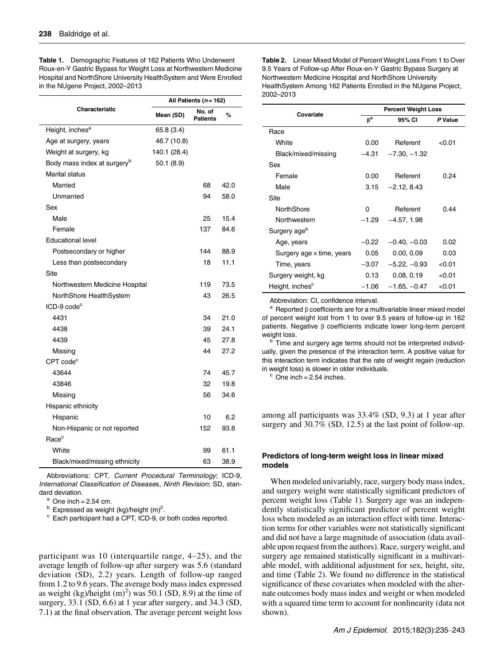<span id="page-3-0"></span>Table 1. Demographic Features of 162 Patients Who Underwent Roux-en-Y Gastric Bypass for Weight Loss at Northwestern Medicine Hospital and NorthShore University HealthSystem and Were Enrolled in the NUgene Project, 2002–2013

|                                         | All Patients ( $n = 162$ ) |                           |      |  |  |  |
|-----------------------------------------|----------------------------|---------------------------|------|--|--|--|
| Characteristic                          | Mean (SD)                  | No. of<br><b>Patients</b> | %    |  |  |  |
| Height, inches <sup>a</sup>             | 65.8 (3.4)                 |                           |      |  |  |  |
| Age at surgery, years                   | 46.7 (10.8)                |                           |      |  |  |  |
| Weight at surgery, kg                   | 140.1 (28.4)               |                           |      |  |  |  |
| Body mass index at surgery <sup>b</sup> | 50.1(8.9)                  |                           |      |  |  |  |
| <b>Marital status</b>                   |                            |                           |      |  |  |  |
| Married                                 |                            | 68                        | 42.0 |  |  |  |
| Unmarried                               |                            | 94                        | 58.0 |  |  |  |
| Sex                                     |                            |                           |      |  |  |  |
| Male                                    |                            | 25                        | 15.4 |  |  |  |
| Female                                  |                            | 137                       | 84.6 |  |  |  |
| <b>Educational level</b>                |                            |                           |      |  |  |  |
| Postsecondary or higher                 |                            | 144                       | 88.9 |  |  |  |
| Less than postsecondary                 |                            | 18                        | 11.1 |  |  |  |
| Site                                    |                            |                           |      |  |  |  |
| Northwestern Medicine Hospital          |                            | 119                       | 73.5 |  |  |  |
| NorthShore HealthSystem                 |                            | 43                        | 26.5 |  |  |  |
| $ICD-9 codec$                           |                            |                           |      |  |  |  |
| 4431                                    |                            | 34                        | 21.0 |  |  |  |
| 4438                                    |                            | 39                        | 24.1 |  |  |  |
| 4439                                    |                            | 45                        | 27.8 |  |  |  |
| Missing                                 |                            | 44                        | 27.2 |  |  |  |
| CPT code <sup>c</sup>                   |                            |                           |      |  |  |  |
| 43644                                   |                            | 74                        | 45.7 |  |  |  |
| 43846                                   |                            | 32                        | 19.8 |  |  |  |
| Missing                                 |                            | 56                        | 34.6 |  |  |  |
| Hispanic ethnicity                      |                            |                           |      |  |  |  |
| Hispanic                                |                            | 10                        | 6.2  |  |  |  |
| Non-Hispanic or not reported            |                            | 152                       | 93.8 |  |  |  |
| Race <sup>c</sup>                       |                            |                           |      |  |  |  |
| White                                   |                            | 99                        | 61.1 |  |  |  |
| Black/mixed/missing ethnicity           |                            | 63                        | 38.9 |  |  |  |

Abbreviations: CPT, Current Procedural Terminology; ICD-9, International Classification of Diseases, Ninth Revision; SD, standard deviation.

 $a$  One inch = 2.54 cm.

 $^{\text{b}}$  Expressed as weight (kg)/height (m)<sup>2</sup>.

<sup>c</sup> Each participant had a CPT, ICD-9, or both codes reported.

participant was 10 (interquartile range, 4–25), and the average length of follow-up after surgery was 5.6 (standard deviation (SD), 2.2) years. Length of follow-up ranged from 1.2 to 9.6 years. The average body mass index expressed as weight  $(kg)/$ height  $(m)^2$ ) was 50.1 (SD, 8.9) at the time of surgery, 33.1 (SD, 6.6) at 1 year after surgery, and 34.3 (SD, 7.1) at the final observation. The average percent weight loss

Table 2. Linear Mixed Model of Percent Weight Loss From 1 to Over 9.5 Years of Follow-up After Roux-en-Y Gastric Bypass Surgery at Northwestern Medicine Hospital and NorthShore University HealthSystem Among 162 Patients Enrolled in the NUgene Project, 2002–2013

|                                  | <b>Percent Weight Loss</b> |                |         |  |  |  |
|----------------------------------|----------------------------|----------------|---------|--|--|--|
| Covariate                        | $\beta^a$                  | 95% CI         | P Value |  |  |  |
| Race                             |                            |                |         |  |  |  |
| White                            | 0.00                       | Referent       | < 0.01  |  |  |  |
| Black/mixed/missing              | $-4.31$                    | $-7.30, -1.32$ |         |  |  |  |
| Sex                              |                            |                |         |  |  |  |
| Female                           | 0.00                       | Referent       | 0.24    |  |  |  |
| Male                             | 3.15                       | $-2.12, 8.43$  |         |  |  |  |
| Site                             |                            |                |         |  |  |  |
| <b>NorthShore</b>                | 0                          | Referent       | 0.44    |  |  |  |
| Northwestern                     | $-1.29$                    | $-4.57.1.98$   |         |  |  |  |
| Surgery age <sup>b</sup>         |                            |                |         |  |  |  |
| Age, years                       | $-0.22$                    | $-0.40, -0.03$ | 0.02    |  |  |  |
| Surgery age $\times$ time, years | 0.05                       | 0.00, 0.09     | 0.03    |  |  |  |
| Time, years                      | $-3.07$                    | $-5.22, -0.93$ | < 0.01  |  |  |  |
| Surgery weight, kg               | 0.13                       | 0.08, 0.19     | < 0.01  |  |  |  |
| Height, inches <sup>c</sup>      | $-1.06$                    | $-1.65, -0.47$ | < 0.01  |  |  |  |

Abbreviation: CI, confidence interval.

<sup>a</sup> Reported β coefficients are for a multivariable linear mixed model of percent weight lost from 1 to over 9.5 years of follow-up in 162 patients. Negative β coefficients indicate lower long-term percent

weight loss.<br> $b$  Time and surgery age terms should not be interpreted individually, given the presence of the interaction term. A positive value for this interaction term indicates that the rate of weight regain (reduction in weight loss) is slower in older individuals.

 $\textdegree$  One inch = 2.54 inches.

among all participants was 33.4% (SD, 9.3) at 1 year after surgery and 30.7% (SD, 12.5) at the last point of follow-up.

## Predictors of long-term weight loss in linear mixed models

When modeled univariably, race, surgery body mass index, and surgery weight were statistically significant predictors of percent weight loss (Table 1). Surgery age was an independently statistically significant predictor of percent weight loss when modeled as an interaction effect with time. Interaction terms for other variables were not statistically significant and did not have a large magnitude of association (data available upon request from the authors). Race, surgery weight, and surgery age remained statistically significant in a multivariable model, with additional adjustment for sex, height, site, and time (Table 2). We found no difference in the statistical significance of these covariates when modeled with the alternate outcomes body mass index and weight or when modeled with a squared time term to account for nonlinearity (data not shown).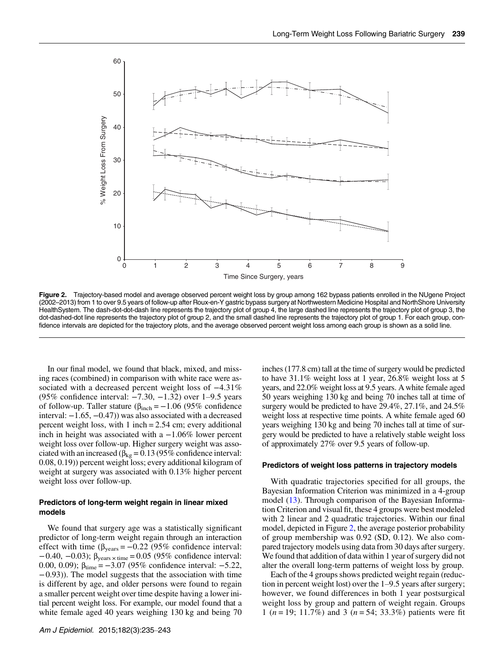

Figure 2. Trajectory-based model and average observed percent weight loss by group among 162 bypass patients enrolled in the NUgene Project (2002–2013) from 1 to over 9.5 years of follow-up after Roux-en-Y gastric bypass surgery at Northwestern Medicine Hospital and NorthShore University HealthSystem. The dash-dot-dot-dash line represents the trajectory plot of group 4, the large dashed line represents the trajectory plot of group 3, the dot-dashed-dot line represents the trajectory plot of group 2, and the small dashed line represents the trajectory plot of group 1. For each group, confidence intervals are depicted for the trajectory plots, and the average observed percent weight loss among each group is shown as a solid line.

In our final model, we found that black, mixed, and missing races (combined) in comparison with white race were associated with a decreased percent weight loss of  $-4.31%$ (95% confidence interval: −7.30, −1.32) over 1–9.5 years of follow-up. Taller stature ( $\beta_{\text{inch}} = -1.06$  (95% confidence interval: −1.65, −0.47)) was also associated with a decreased percent weight loss, with 1 inch  $= 2.54$  cm; every additional inch in height was associated with a −1.06% lower percent weight loss over follow-up. Higher surgery weight was associated with an increased ( $\beta_{kg} = 0.13$  (95% confidence interval: 0.08, 0.19)) percent weight loss; every additional kilogram of weight at surgery was associated with 0.13% higher percent weight loss over follow-up.

## Predictors of long-term weight regain in linear mixed models

We found that surgery age was a statistically significant predictor of long-term weight regain through an interaction effect with time ( $\beta_{\text{years}} = -0.22$  (95% confidence interval:  $-0.40, -0.03$ );  $\beta_{years} \times \text{time} = 0.05$  (95% confidence interval: 0.00, 0.09);  $\beta_{time} = -3.07$  (95% confidence interval: -5.22, −0.93)). The model suggests that the association with time is different by age, and older persons were found to regain a smaller percent weight over time despite having a lower initial percent weight loss. For example, our model found that a white female aged 40 years weighing 130 kg and being 70 inches (177.8 cm) tall at the time of surgery would be predicted to have 31.1% weight loss at 1 year, 26.8% weight loss at 5 years, and 22.0% weight loss at 9.5 years. A white female aged 50 years weighing 130 kg and being 70 inches tall at time of surgery would be predicted to have 29.4%, 27.1%, and 24.5% weight loss at respective time points. A white female aged 60 years weighing 130 kg and being 70 inches tall at time of surgery would be predicted to have a relatively stable weight loss of approximately 27% over 9.5 years of follow-up.

#### Predictors of weight loss patterns in trajectory models

With quadratic trajectories specified for all groups, the Bayesian Information Criterion was minimized in a 4-group model [\(13](#page-7-0)). Through comparison of the Bayesian Information Criterion and visual fit, these 4 groups were best modeled with 2 linear and 2 quadratic trajectories. Within our final model, depicted in Figure 2, the average posterior probability of group membership was 0.92 (SD, 0.12). We also compared trajectory models using data from 30 days after surgery. We found that addition of data within 1 year of surgery did not alter the overall long-term patterns of weight loss by group.

Each of the 4 groups shows predicted weight regain (reduction in percent weight lost) over the 1–9.5 years after surgery; however, we found differences in both 1 year postsurgical weight loss by group and pattern of weight regain. Groups 1 ( $n = 19$ ; 11.7%) and 3 ( $n = 54$ ; 33.3%) patients were fit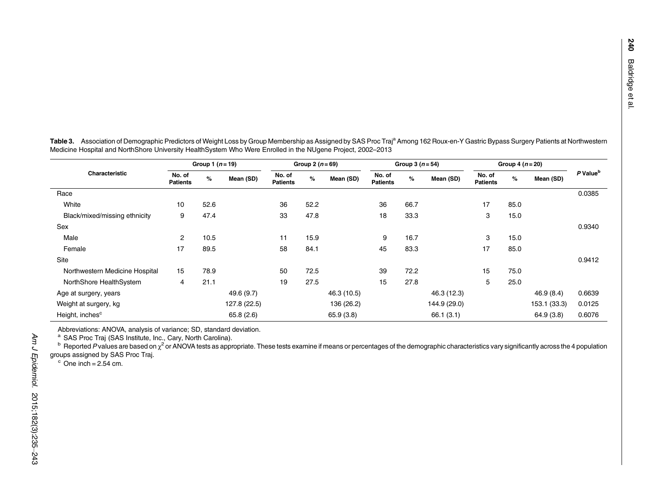|                                | Group 1 $(n=19)$          |      | Group 2 $(n=69)$ |                           | Group $3(n = 54)$ |             |                           | Group 4 $(n = 20)$ |              |                           |      |              |                      |
|--------------------------------|---------------------------|------|------------------|---------------------------|-------------------|-------------|---------------------------|--------------------|--------------|---------------------------|------|--------------|----------------------|
| Characteristic                 | No. of<br><b>Patients</b> | %    | Mean (SD)        | No. of<br><b>Patients</b> | %                 | Mean (SD)   | No. of<br><b>Patients</b> | %                  | Mean (SD)    | No. of<br><b>Patients</b> | %    | Mean (SD)    | P Value <sup>b</sup> |
| Race                           |                           |      |                  |                           |                   |             |                           |                    |              |                           |      |              | 0.0385               |
| White                          | 10                        | 52.6 |                  | 36                        | 52.2              |             | 36                        | 66.7               |              | 17                        | 85.0 |              |                      |
| Black/mixed/missing ethnicity  | 9                         | 47.4 |                  | 33                        | 47.8              |             | 18                        | 33.3               |              | 3                         | 15.0 |              |                      |
| Sex                            |                           |      |                  |                           |                   |             |                           |                    |              |                           |      |              | 0.9340               |
| Male                           | 2                         | 10.5 |                  | 11                        | 15.9              |             | 9                         | 16.7               |              | 3                         | 15.0 |              |                      |
| Female                         | 17                        | 89.5 |                  | 58                        | 84.1              |             | 45                        | 83.3               |              | 17                        | 85.0 |              |                      |
| Site                           |                           |      |                  |                           |                   |             |                           |                    |              |                           |      |              | 0.9412               |
| Northwestern Medicine Hospital | 15                        | 78.9 |                  | 50                        | 72.5              |             | 39                        | 72.2               |              | 15                        | 75.0 |              |                      |
| NorthShore HealthSystem        | $\overline{4}$            | 21.1 |                  | 19                        | 27.5              |             | 15                        | 27.8               |              | 5                         | 25.0 |              |                      |
| Age at surgery, years          |                           |      | 49.6 (9.7)       |                           |                   | 46.3 (10.5) |                           |                    | 46.3 (12.3)  |                           |      | 46.9 (8.4)   | 0.6639               |
| Weight at surgery, kg          |                           |      | 127.8 (22.5)     |                           |                   | 136 (26.2)  |                           |                    | 144.9 (29.0) |                           |      | 153.1 (33.3) | 0.0125               |
| Height, inches <sup>c</sup>    |                           |      | 65.8(2.6)        |                           |                   | 65.9 (3.8)  |                           |                    | 66.1(3.1)    |                           |      | 64.9 (3.8)   | 0.6076               |

<span id="page-5-0"></span>Table 3. Association of Demographic Predictors of Weight Loss by Group Membership as Assigned by SAS Proc Traj<sup>a</sup> Among 162 Roux-en-Y Gastric Bypass Surgery Patients at Northwestern Medicine Hospital and NorthShore University HealthSystem Who Were Enrolled in the NUgene Project, 2002–2013

Abbreviations: ANOVA, analysis of variance; SD, standard deviation.

<sup>a</sup> SAS Proc Traj (SAS Institute, Inc., Cary, North Carolina).

 $^{\rm b}$  Reported *P* values are based on  $\chi^2$  or ANOVA tests as appropriate. These tests examine if means or percentages of the demographic characteristics vary significantly across the 4 population

groups assigned by SAS Proc Traj. c One inch <sup>=</sup> 2.54 cm.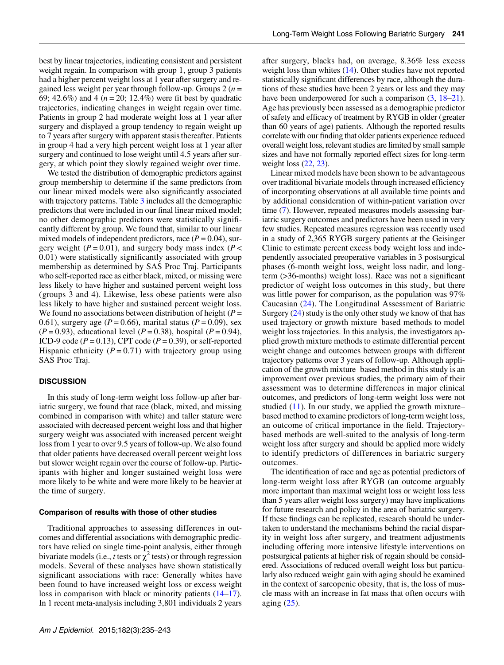best by linear trajectories, indicating consistent and persistent weight regain. In comparison with group 1, group 3 patients had a higher percent weight loss at 1 year after surgery and regained less weight per year through follow-up. Groups 2 ( $n =$ 69; 42.6%) and 4 ( $n = 20$ ; 12.4%) were fit best by quadratic trajectories, indicating changes in weight regain over time. Patients in group 2 had moderate weight loss at 1 year after surgery and displayed a group tendency to regain weight up to 7 years after surgery with apparent stasis thereafter. Patients in group 4 had a very high percent weight loss at 1 year after surgery and continued to lose weight until 4.5 years after surgery, at which point they slowly regained weight over time.

We tested the distribution of demographic predictors against group membership to determine if the same predictors from our linear mixed models were also significantly associated with trajectory patterns. Table [3](#page-5-0) includes all the demographic predictors that were included in our final linear mixed model; no other demographic predictors were statistically significantly different by group. We found that, similar to our linear mixed models of independent predictors, race  $(P = 0.04)$ , surgery weight ( $P = 0.01$ ), and surgery body mass index ( $P <$ 0.01) were statistically significantly associated with group membership as determined by SAS Proc Traj. Participants who self-reported race as either black, mixed, or missing were less likely to have higher and sustained percent weight loss (groups 3 and 4). Likewise, less obese patients were also less likely to have higher and sustained percent weight loss. We found no associations between distribution of height ( $P =$ 0.61), surgery age ( $P = 0.66$ ), marital status ( $P = 0.09$ ), sex  $(P = 0.93)$ , educational level  $(P = 0.38)$ , hospital  $(P = 0.94)$ , ICD-9 code  $(P = 0.13)$ , CPT code  $(P = 0.39)$ , or self-reported Hispanic ethnicity  $(P = 0.71)$  with trajectory group using SAS Proc Traj.

## **DISCUSSION**

In this study of long-term weight loss follow-up after bariatric surgery, we found that race (black, mixed, and missing combined in comparison with white) and taller stature were associated with decreased percent weight loss and that higher surgery weight was associated with increased percent weight loss from 1 year to over 9.5 years of follow-up. We also found that older patients have decreased overall percent weight loss but slower weight regain over the course of follow-up. Participants with higher and longer sustained weight loss were more likely to be white and were more likely to be heavier at the time of surgery.

#### Comparison of results with those of other studies

Traditional approaches to assessing differences in outcomes and differential associations with demographic predictors have relied on single time-point analysis, either through bivariate models (i.e., *t* tests or  $\chi^2$  tests) or through regression models. Several of these analyses have shown statistically significant associations with race: Generally whites have been found to have increased weight loss or excess weight loss in comparison with black or minority patients [\(14](#page-7-0)–[17](#page-7-0)). In 1 recent meta-analysis including 3,801 individuals 2 years

after surgery, blacks had, on average, 8.36% less excess weight loss than whites ([14\)](#page-7-0). Other studies have not reported statistically significant differences by race, although the durations of these studies have been 2 years or less and they may have been underpowered for such a comparison  $(3, 18-21)$  $(3, 18-21)$  $(3, 18-21)$  $(3, 18-21)$  $(3, 18-21)$  $(3, 18-21)$  $(3, 18-21)$ . Age has previously been assessed as a demographic predictor of safety and efficacy of treatment by RYGB in older (greater than 60 years of age) patients. Although the reported results correlate with our finding that older patients experience reduced overall weight loss, relevant studies are limited by small sample sizes and have not formally reported effect sizes for long-term weight loss [\(22](#page-8-0), [23\)](#page-8-0).

Linear mixed models have been shown to be advantageous over traditional bivariate models through increased efficiency of incorporating observations at all available time points and by additional consideration of within-patient variation over time [\(7](#page-7-0)). However, repeated measures models assessing bariatric surgery outcomes and predictors have been used in very few studies. Repeated measures regression was recently used in a study of 2,365 RYGB surgery patients at the Geisinger Clinic to estimate percent excess body weight loss and independently associated preoperative variables in 3 postsurgical phases (6-month weight loss, weight loss nadir, and longterm (>36-months) weight loss). Race was not a significant predictor of weight loss outcomes in this study, but there was little power for comparison, as the population was 97% Caucasian ([24](#page-8-0)). The Longitudinal Assessment of Bariatric Surgery [\(24\)](#page-8-0) study is the only other study we know of that has used trajectory or growth mixture–based methods to model weight loss trajectories. In this analysis, the investigators applied growth mixture methods to estimate differential percent weight change and outcomes between groups with different trajectory patterns over 3 years of follow-up. Although application of the growth mixture–based method in this study is an improvement over previous studies, the primary aim of their assessment was to determine differences in major clinical outcomes, and predictors of long-term weight loss were not studied  $(11)$ . In our study, we applied the growth mixture– based method to examine predictors of long-term weight loss, an outcome of critical importance in the field. Trajectorybased methods are well-suited to the analysis of long-term weight loss after surgery and should be applied more widely to identify predictors of differences in bariatric surgery outcomes.

The identification of race and age as potential predictors of long-term weight loss after RYGB (an outcome arguably more important than maximal weight loss or weight loss less than 5 years after weight loss surgery) may have implications for future research and policy in the area of bariatric surgery. If these findings can be replicated, research should be undertaken to understand the mechanisms behind the racial disparity in weight loss after surgery, and treatment adjustments including offering more intensive lifestyle interventions on postsurgical patients at higher risk of regain should be considered. Associations of reduced overall weight loss but particularly also reduced weight gain with aging should be examined in the context of sarcopenic obesity, that is, the loss of muscle mass with an increase in fat mass that often occurs with aging  $(25)$  $(25)$ .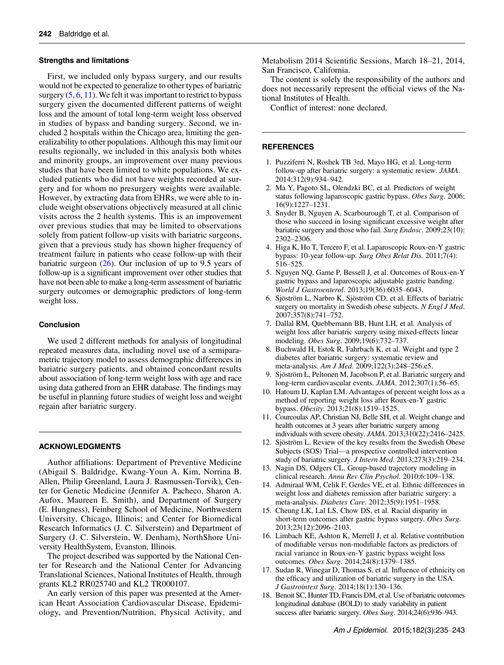### <span id="page-7-0"></span>Strengths and limitations

First, we included only bypass surgery, and our results would not be expected to generalize to other types of bariatric surgery  $(5, 6, 11)$ . We felt it was important to restrict to bypass surgery given the documented different patterns of weight loss and the amount of total long-term weight loss observed in studies of bypass and banding surgery. Second, we included 2 hospitals within the Chicago area, limiting the generalizability to other populations. Although this may limit our results regionally, we included in this analysis both whites and minority groups, an improvement over many previous studies that have been limited to white populations. We excluded patients who did not have weights recorded at surgery and for whom no presurgery weights were available. However, by extracting data from EHRs, we were able to include weight observations objectively measured at all clinic visits across the 2 health systems. This is an improvement over previous studies that may be limited to observations solely from patient follow-up visits with bariatric surgeons, given that a previous study has shown higher frequency of treatment failure in patients who cease follow-up with their bariatric surgeon  $(26)$  $(26)$ . Our inclusion of up to 9.5 years of follow-up is a significant improvement over other studies that have not been able to make a long-term assessment of bariatric surgery outcomes or demographic predictors of long-term weight loss.

## Conclusion

We used 2 different methods for analysis of longitudinal repeated measures data, including novel use of a semiparametric trajectory model to assess demographic differences in bariatric surgery patients, and obtained concordant results about association of long-term weight loss with age and race using data gathered from an EHR database. The findings may be useful in planning future studies of weight loss and weight regain after bariatric surgery.

## ACKNOWLEDGMENTS

Author affiliations: Department of Preventive Medicine (Abigail S. Baldridge, Kwang-Youn A. Kim, Norrina B. Allen, Philip Greenland, Laura J. Rasmussen-Torvik), Center for Genetic Medicine (Jennifer A. Pacheco, Sharon A. Aufox, Maureen E. Smith), and Department of Surgery (E. Hungness), Feinberg School of Medicine, Northwestern University, Chicago, Illinois; and Center for Biomedical Research Informatics (J. C. Silverstein) and Department of Surgery (J. C. Silverstein, W. Denham), NorthShore University HealthSystem, Evanston, Illinois.

The project described was supported by the National Center for Research and the National Center for Advancing Translational Sciences, National Institutes of Health, through grants KL2 RR025740 and KL2 TR000107.

An early version of this paper was presented at the American Heart Association Cardiovascular Disease, Epidemiology, and Prevention/Nutrition, Physical Activity, and Metabolism 2014 Scientific Sessions, March 18–21, 2014, San Francisco, California.

The content is solely the responsibility of the authors and does not necessarily represent the official views of the National Institutes of Health.

Conflict of interest: none declared.

### REFERENCES

- 1. Puzziferri N, Roshek TB 3rd, Mayo HG, et al. Long-term follow-up after bariatric surgery: a systematic review. JAMA. 2014;312(9):934–942.
- 2. Ma Y, Pagoto SL, Olendzki BC, et al. Predictors of weight status following laparoscopic gastric bypass. Obes Surg. 2006; 16(9):1227–1231.
- 3. Snyder B, Nguyen A, Scarbourough T, et al. Comparison of those who succeed in losing significant excessive weight after bariatric surgery and those who fail. Surg Endosc. 2009;23(10): 2302–2306.
- 4. Higa K, Ho T, Tercero F, et al. Laparoscopic Roux-en-Y gastric bypass: 10-year follow-up. Surg Obes Relat Dis. 2011;7(4): 516–525.
- 5. Nguyen NQ, Game P, Bessell J, et al. Outcomes of Roux-en-Y gastric bypass and laparoscopic adjustable gastric banding. World J Gastroenterol. 2013;19(36):6035–6043.
- 6. Sjöström L, Narbro K, Sjöström CD, et al. Effects of bariatric surgery on mortality in Swedish obese subjects. N Engl J Med. 2007;357(8):741–752.
- 7. Dallal RM, Quebbemann BB, Hunt LH, et al. Analysis of weight loss after bariatric surgery using mixed-effects linear modeling. Obes Surg. 2009;19(6):732–737.
- 8. Buchwald H, Estok R, Fahrbach K, et al. Weight and type 2 diabetes after bariatric surgery: systematic review and meta-analysis. Am J Med. 2009;122(3):248–256.e5.
- 9. Sjöström L, Peltonen M, Jacobson P, et al. Bariatric surgery and long-term cardiovascular events. JAMA. 2012;307(1):56–65.
- 10. Hatoum IJ, Kaplan LM. Advantages of percent weight loss as a method of reporting weight loss after Roux-en-Y gastric bypass. Obesity. 2013;21(8):1519–1525.
- 11. Courcoulas AP, Christian NJ, Belle SH, et al. Weight change and health outcomes at 3 years after bariatric surgery among individuals with severe obesity. JAMA. 2013;310(22):2416–2425.
- 12. Sjöström L. Review of the key results from the Swedish Obese Subjects (SOS) Trial—a prospective controlled intervention study of bariatric surgery. J Intern Med. 2013;273(3):219-234.
- 13. Nagin DS, Odgers CL. Group-based trajectory modeling in clinical research. Annu Rev Clin Psychol. 2010;6:109–138.
- 14. Admiraal WM, Celik F, Gerdes VE, et al. Ethnic differences in weight loss and diabetes remission after bariatric surgery: a meta-analysis. Diabetes Care. 2012;35(9):1951–1958.
- 15. Cheung LK, Lal LS, Chow DS, et al. Racial disparity in short-term outcomes after gastric bypass surgery. Obes Surg. 2013;23(12):2096–2103.
- 16. Limbach KE, Ashton K, Merrell J, et al. Relative contribution of modifiable versus non-modifiable factors as predictors of racial variance in Roux-en-Y gastric bypass weight loss outcomes. Obes Surg. 2014;24(8):1379–1385.
- 17. Sudan R, Winegar D, Thomas S, et al. Influence of ethnicity on the efficacy and utilization of bariatric surgery in the USA. J Gastrointest Surg. 2014;18(1):130–136.
- 18. Benoit SC, Hunter TD, Francis DM, et al. Use of bariatric outcomes longitudinal database (BOLD) to study variability in patient success after bariatric surgery. Obes Surg. 2014;24(6):936–943.